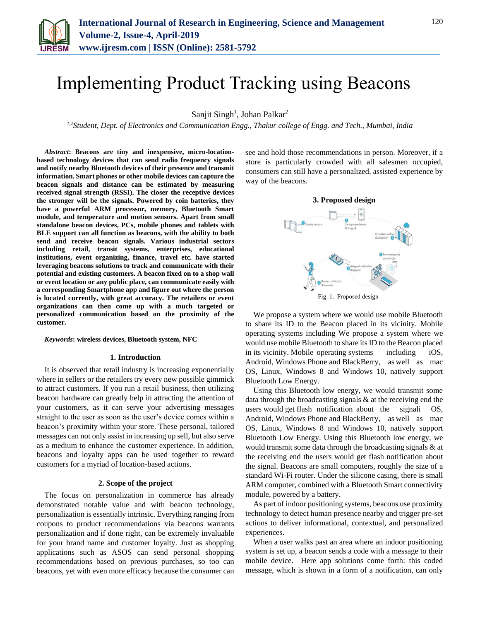

# Implementing Product Tracking using Beacons

Sanjit Singh<sup>1</sup>, Johan Palkar<sup>2</sup>

*1,2Student, Dept. of Electronics and Communication Engg., Thakur college of Engg. and Tech., Mumbai, India*

*Abstract***: Beacons are tiny and inexpensive, micro-locationbased technology devices that can send radio frequency signals and notify nearby Bluetooth devices of their presence and transmit information. Smart phones or other mobile devices can capture the beacon signals and distance can be estimated by measuring received signal strength (RSSI). The closer the receptive devices the stronger will be the signals. Powered by coin batteries, they have a powerful ARM processor, memory, Bluetooth Smart module, and temperature and motion sensors. Apart from small standalone beacon devices, PCs, mobile phones and tablets with BLE support can all function as beacons, with the ability to both send and receive beacon signals. Various industrial sectors including retail, transit systems, enterprises, educational institutions, event organizing, finance, travel etc. have started leveraging beacons solutions to track and communicate with their potential and existing customers. A beacon fixed on to a shop wall or event location or any public place, can communicate easily with a corresponding Smartphone app and figure out where the person is located currently, with great accuracy. The retailers or event organizations can then come up with a much targeted or personalized communication based on the proximity of the customer.**

*Keywords***: wireless devices, Bluetooth system, NFC**

#### **1. Introduction**

It is observed that retail industry is increasing exponentially where in sellers or the retailers try every new possible gimmick to attract customers. If you run a retail business, then utilizing beacon hardware can greatly help in attracting the attention of your customers, as it can serve your advertising messages straight to the user as soon as the user's device comes within a beacon's proximity within your store. These personal, tailored messages can not only assist in increasing up sell, but also serve as a medium to enhance the customer experience. In addition, beacons and loyalty apps can be used together to reward customers for a myriad of location-based actions.

## **2. Scope of the project**

The focus on personalization in commerce has already demonstrated notable value and with beacon technology, personalization is essentially intrinsic. Everything ranging from coupons to product recommendations via beacons warrants personalization and if done right, can be extremely invaluable for your brand name and customer loyalty. Just as shopping applications such as ASOS can send personal shopping recommendations based on previous purchases, so too can beacons, yet with even more efficacy because the consumer can

see and hold those recommendations in person. Moreover, if a store is particularly crowded with all salesmen occupied, consumers can still have a personalized, assisted experience by way of the beacons.



We propose a system where we would use mobile Bluetooth to share its ID to the Beacon placed in its vicinity. Mobile operating systems including We propose a system where we would use mobile Bluetooth to share its ID to the Beacon placed in its vicinity. Mobile operating systems including iOS, Android, Windows Phone and BlackBerry, as well as mac OS, Linux, Windows 8 and Windows 10, natively support Bluetooth Low Energy.

Using this Bluetooth low energy, we would transmit some data through the broadcasting signals & at the receiving end the users would get flash notification about the signali OS, Android, Windows Phone and BlackBerry, as well as mac OS, Linux, Windows 8 and Windows 10, natively support Bluetooth Low Energy. Using this Bluetooth low energy, we would transmit some data through the broadcasting signals & at the receiving end the users would get flash notification about the signal. Beacons are small computers, roughly the size of a standard Wi-Fi router. Under the silicone casing, there is small ARM computer, combined with a Bluetooth Smart connectivity module, powered by a battery.

As part of indoor positioning systems, beacons use proximity technology to detect human presence nearby and trigger pre-set actions to deliver informational, contextual, and personalized experiences.

When a user walks past an area where an indoor positioning system is set up, a beacon sends a code with a message to their mobile device. Here app solutions come forth: this coded message, which is shown in a form of a notification, can only